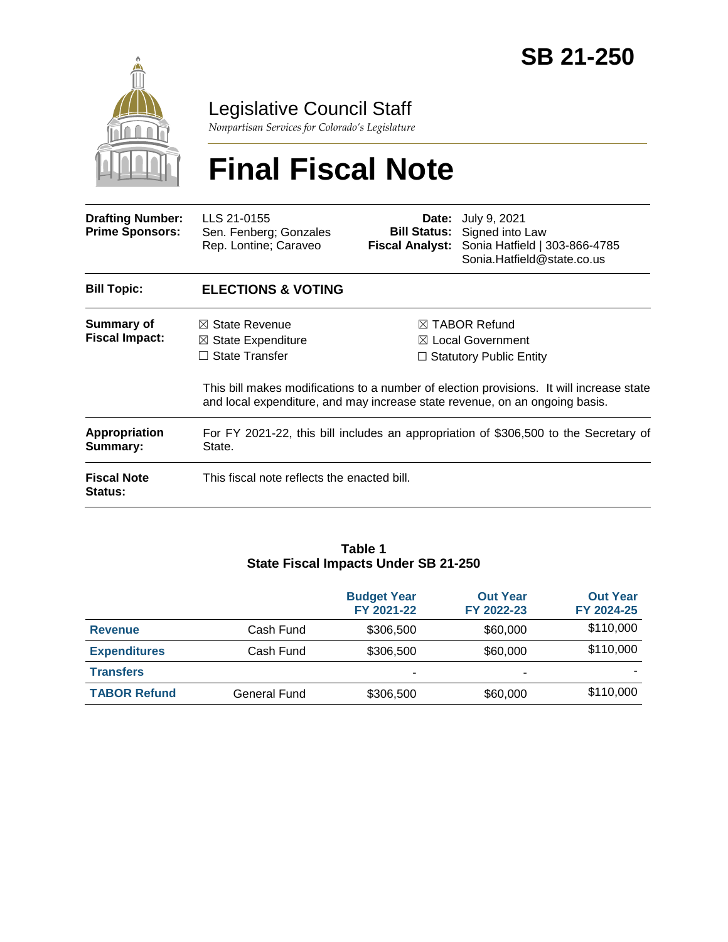

Legislative Council Staff

*Nonpartisan Services for Colorado's Legislature*

# **Final Fiscal Note**

| <b>Drafting Number:</b><br><b>Prime Sponsors:</b> | LLS 21-0155<br>Sen. Fenberg; Gonzales<br>Rep. Lontine; Caraveo                                                                                                          |                                | <b>Date:</b> July 9, 2021<br><b>Bill Status:</b> Signed into Law<br>Fiscal Analyst: Sonia Hatfield   303-866-4785<br>Sonia.Hatfield@state.co.us |  |
|---------------------------------------------------|-------------------------------------------------------------------------------------------------------------------------------------------------------------------------|--------------------------------|-------------------------------------------------------------------------------------------------------------------------------------------------|--|
| <b>Bill Topic:</b>                                | <b>ELECTIONS &amp; VOTING</b>                                                                                                                                           |                                |                                                                                                                                                 |  |
| Summary of                                        | $\boxtimes$ State Revenue                                                                                                                                               | $\boxtimes$ TABOR Refund       |                                                                                                                                                 |  |
| <b>Fiscal Impact:</b>                             | $\boxtimes$ State Expenditure                                                                                                                                           | $\boxtimes$ Local Government   |                                                                                                                                                 |  |
|                                                   | <b>State Transfer</b><br>$\perp$                                                                                                                                        | $\Box$ Statutory Public Entity |                                                                                                                                                 |  |
|                                                   | This bill makes modifications to a number of election provisions. It will increase state<br>and local expenditure, and may increase state revenue, on an ongoing basis. |                                |                                                                                                                                                 |  |
| <b>Appropriation</b><br>Summary:                  | For FY 2021-22, this bill includes an appropriation of \$306,500 to the Secretary of<br>State.                                                                          |                                |                                                                                                                                                 |  |
| <b>Fiscal Note</b><br>Status:                     | This fiscal note reflects the enacted bill.                                                                                                                             |                                |                                                                                                                                                 |  |

#### **Table 1 State Fiscal Impacts Under SB 21-250**

|                     |              | <b>Budget Year</b><br>FY 2021-22 | <b>Out Year</b><br>FY 2022-23 | <b>Out Year</b><br>FY 2024-25 |
|---------------------|--------------|----------------------------------|-------------------------------|-------------------------------|
| <b>Revenue</b>      | Cash Fund    | \$306,500                        | \$60,000                      | \$110,000                     |
| <b>Expenditures</b> | Cash Fund    | \$306,500                        | \$60,000                      | \$110,000                     |
| <b>Transfers</b>    |              | -                                | -                             |                               |
| <b>TABOR Refund</b> | General Fund | \$306,500                        | \$60,000                      | \$110,000                     |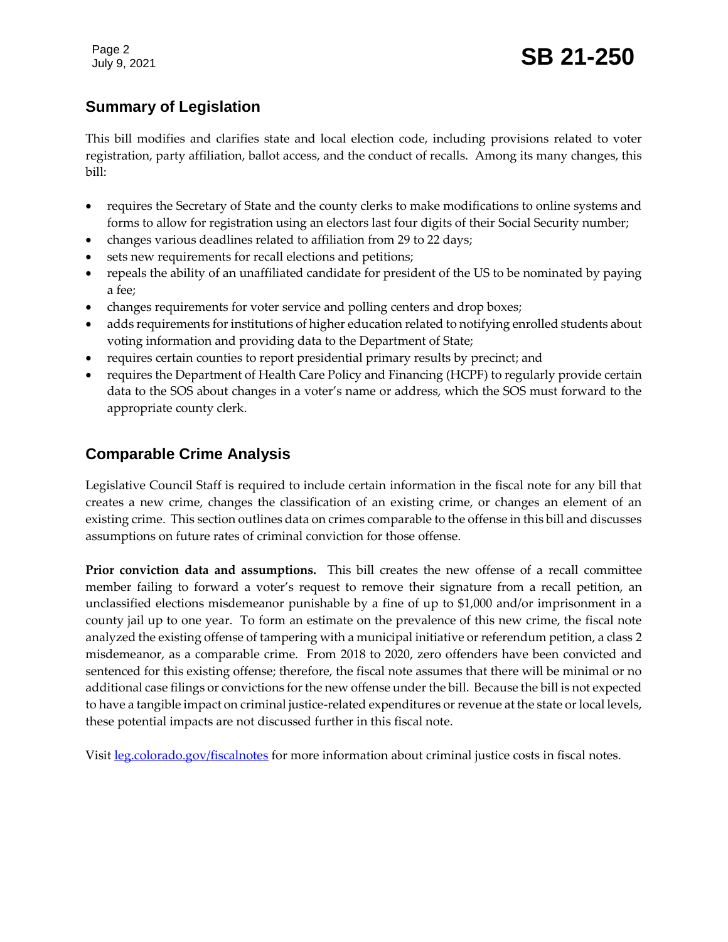Page 2

# **Summary of Legislation**

This bill modifies and clarifies state and local election code, including provisions related to voter registration, party affiliation, ballot access, and the conduct of recalls. Among its many changes, this bill:

- requires the Secretary of State and the county clerks to make modifications to online systems and forms to allow for registration using an electors last four digits of their Social Security number;
- changes various deadlines related to affiliation from 29 to 22 days;
- sets new requirements for recall elections and petitions;
- repeals the ability of an unaffiliated candidate for president of the US to be nominated by paying a fee;
- changes requirements for voter service and polling centers and drop boxes;
- adds requirements for institutions of higher education related to notifying enrolled students about voting information and providing data to the Department of State;
- requires certain counties to report presidential primary results by precinct; and
- requires the Department of Health Care Policy and Financing (HCPF) to regularly provide certain data to the SOS about changes in a voter's name or address, which the SOS must forward to the appropriate county clerk.

# **Comparable Crime Analysis**

Legislative Council Staff is required to include certain information in the fiscal note for any bill that creates a new crime, changes the classification of an existing crime, or changes an element of an existing crime. This section outlines data on crimes comparable to the offense in this bill and discusses assumptions on future rates of criminal conviction for those offense.

**Prior conviction data and assumptions.** This bill creates the new offense of a recall committee member failing to forward a voter's request to remove their signature from a recall petition, an unclassified elections misdemeanor punishable by a fine of up to \$1,000 and/or imprisonment in a county jail up to one year. To form an estimate on the prevalence of this new crime, the fiscal note analyzed the existing offense of tampering with a municipal initiative or referendum petition, a class 2 misdemeanor, as a comparable crime. From 2018 to 2020, zero offenders have been convicted and sentenced for this existing offense; therefore, the fiscal note assumes that there will be minimal or no additional case filings or convictions for the new offense under the bill. Because the bill is not expected to have a tangible impact on criminal justice-related expenditures or revenue at the state or local levels, these potential impacts are not discussed further in this fiscal note.

Visit [leg.colorado.gov/fiscalnotes](http://leg.colorado.gov/fiscalnotes/) for more information about criminal justice costs in fiscal notes.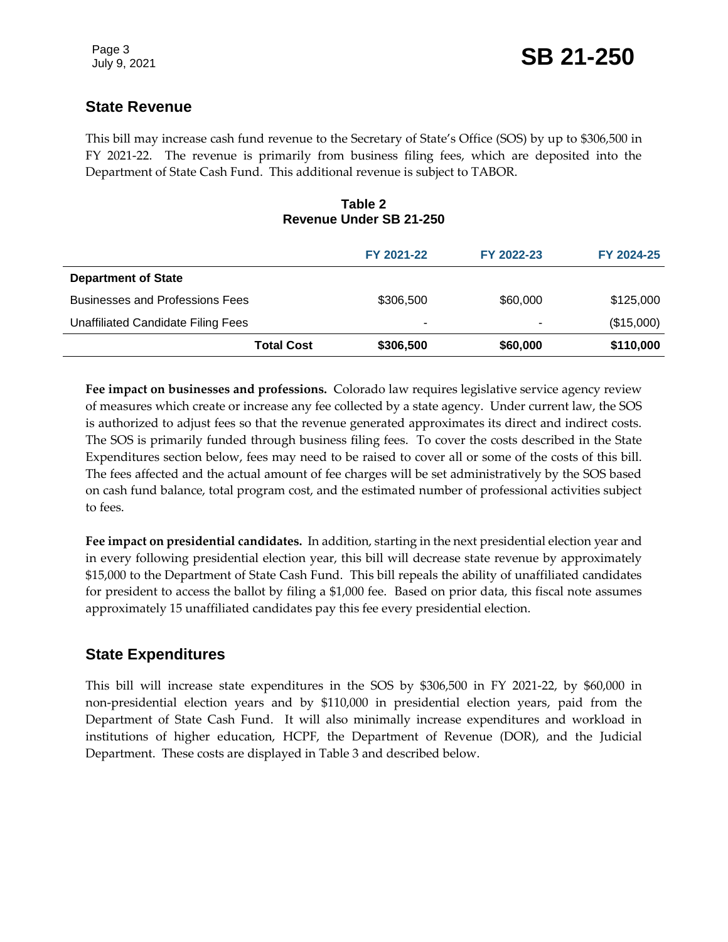## **State Revenue**

This bill may increase cash fund revenue to the Secretary of State's Office (SOS) by up to \$306,500 in FY 2021-22. The revenue is primarily from business filing fees, which are deposited into the Department of State Cash Fund. This additional revenue is subject to TABOR.

#### **Table 2 Revenue Under SB 21-250**

|                                        | FY 2021-22 | FY 2022-23 | FY 2024-25 |
|----------------------------------------|------------|------------|------------|
| <b>Department of State</b>             |            |            |            |
| <b>Businesses and Professions Fees</b> | \$306,500  | \$60,000   | \$125,000  |
| Unaffiliated Candidate Filing Fees     | -          | ۰          | (\$15,000) |
| <b>Total Cost</b>                      | \$306,500  | \$60,000   | \$110,000  |

**Fee impact on businesses and professions.** Colorado law requires legislative service agency review of measures which create or increase any fee collected by a state agency. Under current law, the SOS is authorized to adjust fees so that the revenue generated approximates its direct and indirect costs. The SOS is primarily funded through business filing fees. To cover the costs described in the State Expenditures section below, fees may need to be raised to cover all or some of the costs of this bill. The fees affected and the actual amount of fee charges will be set administratively by the SOS based on cash fund balance, total program cost, and the estimated number of professional activities subject to fees.

**Fee impact on presidential candidates.** In addition, starting in the next presidential election year and in every following presidential election year, this bill will decrease state revenue by approximately \$15,000 to the Department of State Cash Fund. This bill repeals the ability of unaffiliated candidates for president to access the ballot by filing a \$1,000 fee. Based on prior data, this fiscal note assumes approximately 15 unaffiliated candidates pay this fee every presidential election.

### **State Expenditures**

This bill will increase state expenditures in the SOS by \$306,500 in FY 2021-22, by \$60,000 in non-presidential election years and by \$110,000 in presidential election years, paid from the Department of State Cash Fund. It will also minimally increase expenditures and workload in institutions of higher education, HCPF, the Department of Revenue (DOR), and the Judicial Department. These costs are displayed in Table 3 and described below.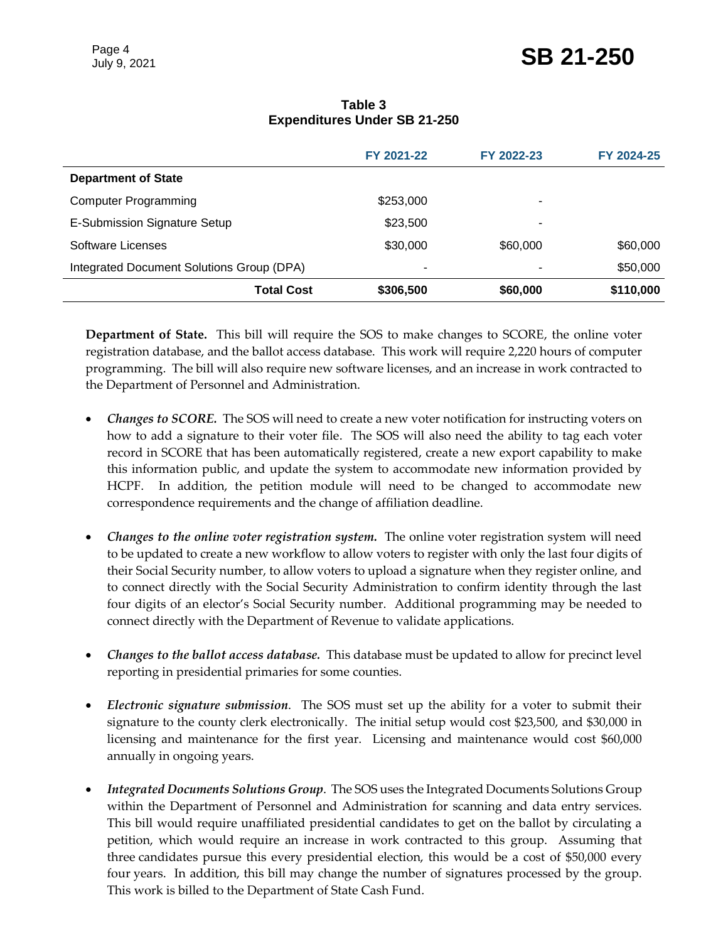|                                           | FY 2021-22 | FY 2022-23 | FY 2024-25 |
|-------------------------------------------|------------|------------|------------|
| <b>Department of State</b>                |            |            |            |
| <b>Computer Programming</b>               | \$253,000  | -          |            |
| E-Submission Signature Setup              | \$23,500   | -          |            |
| Software Licenses                         | \$30,000   | \$60,000   | \$60,000   |
| Integrated Document Solutions Group (DPA) | ۰          |            | \$50,000   |
| <b>Total Cost</b>                         | \$306,500  | \$60,000   | \$110,000  |

#### **Table 3 Expenditures Under SB 21-250**

**Department of State.** This bill will require the SOS to make changes to SCORE, the online voter registration database, and the ballot access database. This work will require 2,220 hours of computer programming. The bill will also require new software licenses, and an increase in work contracted to the Department of Personnel and Administration.

- *Changes to SCORE.* The SOS will need to create a new voter notification for instructing voters on how to add a signature to their voter file. The SOS will also need the ability to tag each voter record in SCORE that has been automatically registered, create a new export capability to make this information public, and update the system to accommodate new information provided by HCPF. In addition, the petition module will need to be changed to accommodate new correspondence requirements and the change of affiliation deadline.
- *Changes to the online voter registration system.* The online voter registration system will need to be updated to create a new workflow to allow voters to register with only the last four digits of their Social Security number, to allow voters to upload a signature when they register online, and to connect directly with the Social Security Administration to confirm identity through the last four digits of an elector's Social Security number. Additional programming may be needed to connect directly with the Department of Revenue to validate applications.
- *Changes to the ballot access database.* This database must be updated to allow for precinct level reporting in presidential primaries for some counties.
- *Electronic signature submission*. The SOS must set up the ability for a voter to submit their signature to the county clerk electronically. The initial setup would cost \$23,500, and \$30,000 in licensing and maintenance for the first year. Licensing and maintenance would cost \$60,000 annually in ongoing years.
- *Integrated Documents Solutions Group*. The SOS uses the Integrated Documents Solutions Group within the Department of Personnel and Administration for scanning and data entry services. This bill would require unaffiliated presidential candidates to get on the ballot by circulating a petition, which would require an increase in work contracted to this group. Assuming that three candidates pursue this every presidential election, this would be a cost of \$50,000 every four years. In addition, this bill may change the number of signatures processed by the group. This work is billed to the Department of State Cash Fund.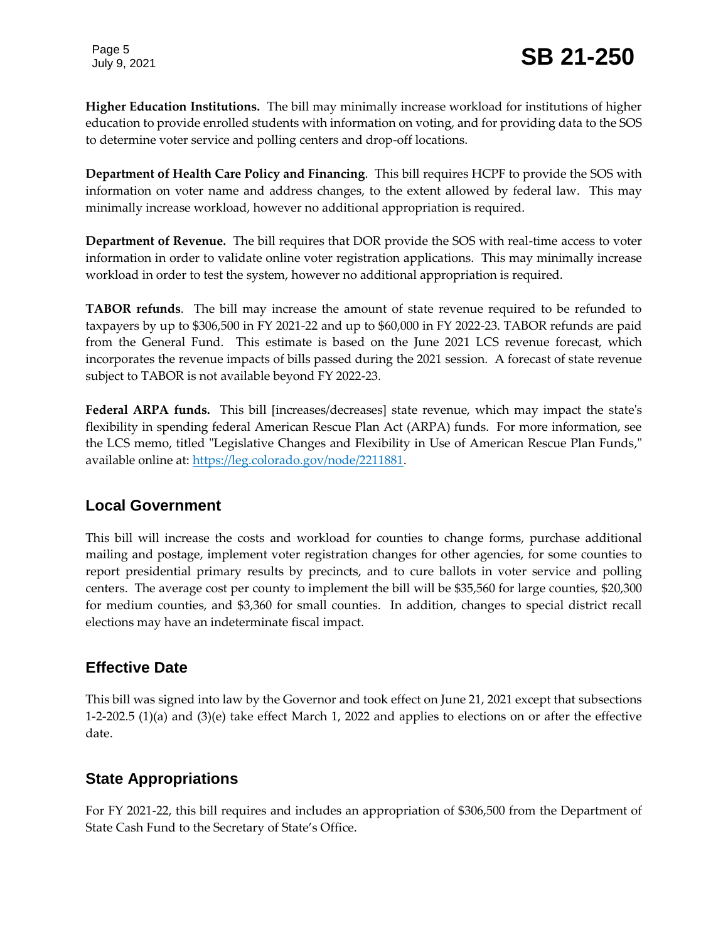Page 5

**Higher Education Institutions.** The bill may minimally increase workload for institutions of higher education to provide enrolled students with information on voting, and for providing data to the SOS to determine voter service and polling centers and drop-off locations.

**Department of Health Care Policy and Financing**. This bill requires HCPF to provide the SOS with information on voter name and address changes, to the extent allowed by federal law. This may minimally increase workload, however no additional appropriation is required.

**Department of Revenue.** The bill requires that DOR provide the SOS with real-time access to voter information in order to validate online voter registration applications. This may minimally increase workload in order to test the system, however no additional appropriation is required.

**TABOR refunds**. The bill may increase the amount of state revenue required to be refunded to taxpayers by up to \$306,500 in FY 2021-22 and up to \$60,000 in FY 2022-23. TABOR refunds are paid from the General Fund. This estimate is based on the June 2021 LCS revenue forecast, which incorporates the revenue impacts of bills passed during the 2021 session. A forecast of state revenue subject to TABOR is not available beyond FY 2022-23.

**Federal ARPA funds.** This bill [increases/decreases] state revenue, which may impact the state's flexibility in spending federal American Rescue Plan Act (ARPA) funds. For more information, see the LCS memo, titled "Legislative Changes and Flexibility in Use of American Rescue Plan Funds," available online at: [https://leg.colorado.gov/node/2211881.](https://leg.colorado.gov/node/2211881)

# **Local Government**

This bill will increase the costs and workload for counties to change forms, purchase additional mailing and postage, implement voter registration changes for other agencies, for some counties to report presidential primary results by precincts, and to cure ballots in voter service and polling centers. The average cost per county to implement the bill will be \$35,560 for large counties, \$20,300 for medium counties, and \$3,360 for small counties. In addition, changes to special district recall elections may have an indeterminate fiscal impact.

# **Effective Date**

This bill was signed into law by the Governor and took effect on June 21, 2021 except that subsections 1-2-202.5 (1)(a) and (3)(e) take effect March 1, 2022 and applies to elections on or after the effective date.

# **State Appropriations**

For FY 2021-22, this bill requires and includes an appropriation of \$306,500 from the Department of State Cash Fund to the Secretary of State's Office.